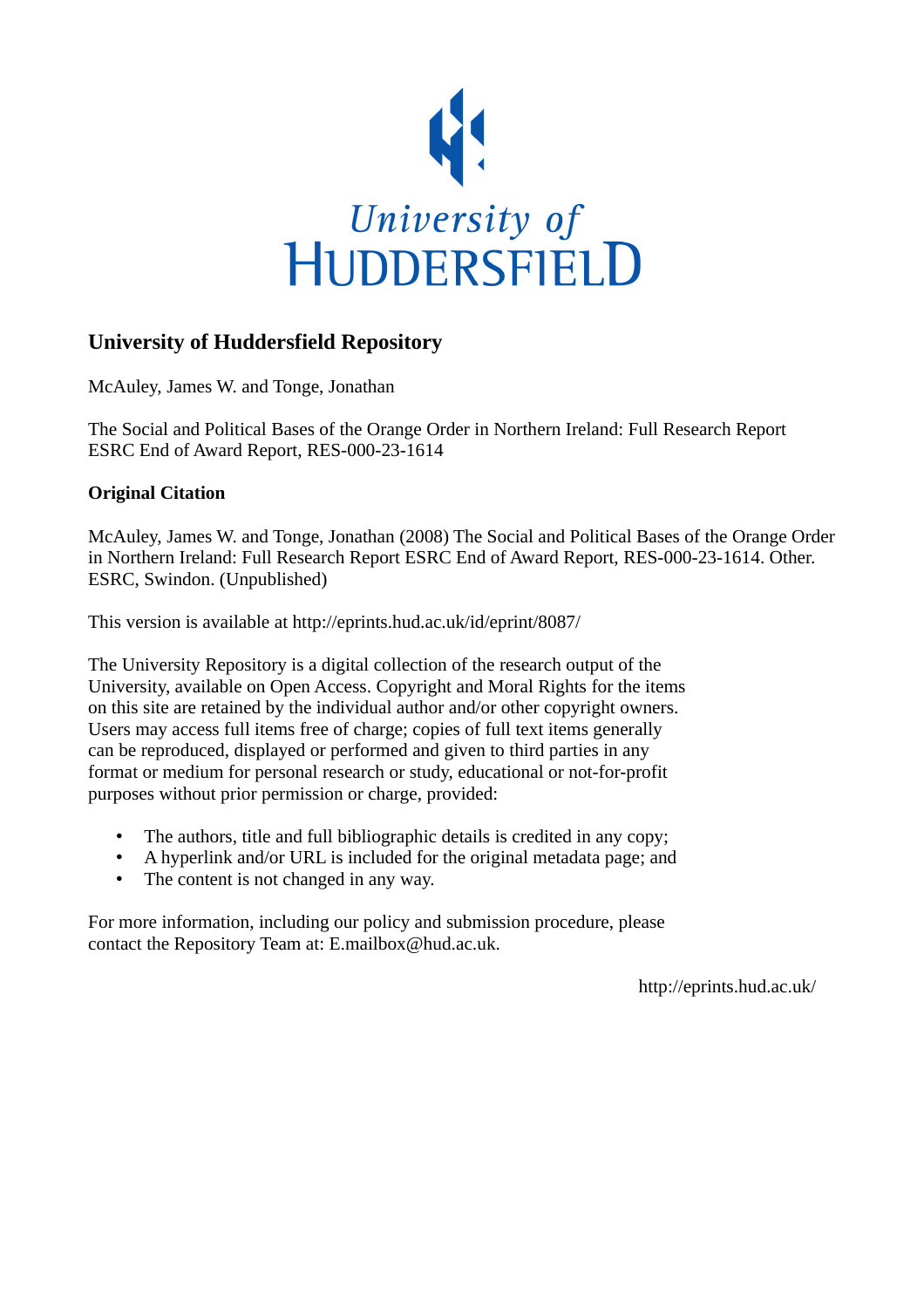

# **University of Huddersfield Repository**

McAuley, James W. and Tonge, Jonathan

The Social and Political Bases of the Orange Order in Northern Ireland: Full Research Report ESRC End of Award Report, RES-000-23-1614

## **Original Citation**

McAuley, James W. and Tonge, Jonathan (2008) The Social and Political Bases of the Orange Order in Northern Ireland: Full Research Report ESRC End of Award Report, RES-000-23-1614. Other. ESRC, Swindon. (Unpublished)

This version is available at http://eprints.hud.ac.uk/id/eprint/8087/

The University Repository is a digital collection of the research output of the University, available on Open Access. Copyright and Moral Rights for the items on this site are retained by the individual author and/or other copyright owners. Users may access full items free of charge; copies of full text items generally can be reproduced, displayed or performed and given to third parties in any format or medium for personal research or study, educational or not-for-profit purposes without prior permission or charge, provided:

- The authors, title and full bibliographic details is credited in any copy;
- A hyperlink and/or URL is included for the original metadata page; and
- The content is not changed in any way.

For more information, including our policy and submission procedure, please contact the Repository Team at: E.mailbox@hud.ac.uk.

http://eprints.hud.ac.uk/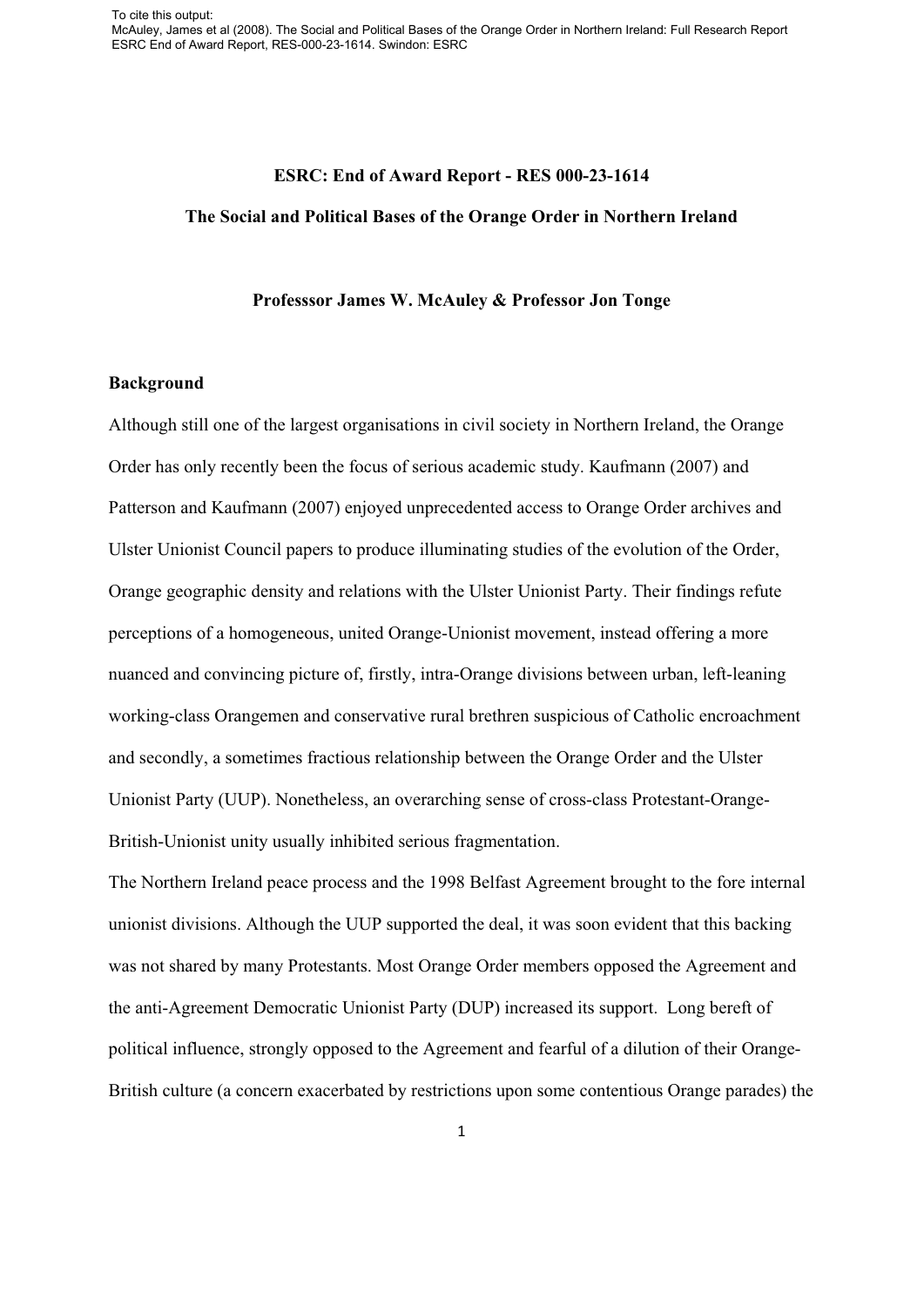#### **ESRC: End of Award Report - RES 000-23-1614**

#### **The Social and Political Bases of the Orange Order in Northern Ireland**

#### **Professsor James W. McAuley & Professor Jon Tonge**

#### **Background**

Although still one of the largest organisations in civil society in Northern Ireland, the Orange Order has only recently been the focus of serious academic study. Kaufmann (2007) and Patterson and Kaufmann (2007) enjoyed unprecedented access to Orange Order archives and Ulster Unionist Council papers to produce illuminating studies of the evolution of the Order, Orange geographic density and relations with the Ulster Unionist Party. Their findings refute perceptions of a homogeneous, united Orange-Unionist movement, instead offering a more nuanced and convincing picture of, firstly, intra-Orange divisions between urban, left-leaning working-class Orangemen and conservative rural brethren suspicious of Catholic encroachment and secondly, a sometimes fractious relationship between the Orange Order and the Ulster Unionist Party (UUP). Nonetheless, an overarching sense of cross-class Protestant-Orange-British-Unionist unity usually inhibited serious fragmentation.

The Northern Ireland peace process and the 1998 Belfast Agreement brought to the fore internal unionist divisions. Although the UUP supported the deal, it was soon evident that this backing was not shared by many Protestants. Most Orange Order members opposed the Agreement and the anti-Agreement Democratic Unionist Party (DUP) increased its support. Long bereft of political influence, strongly opposed to the Agreement and fearful of a dilution of their Orange-British culture (a concern exacerbated by restrictions upon some contentious Orange parades) the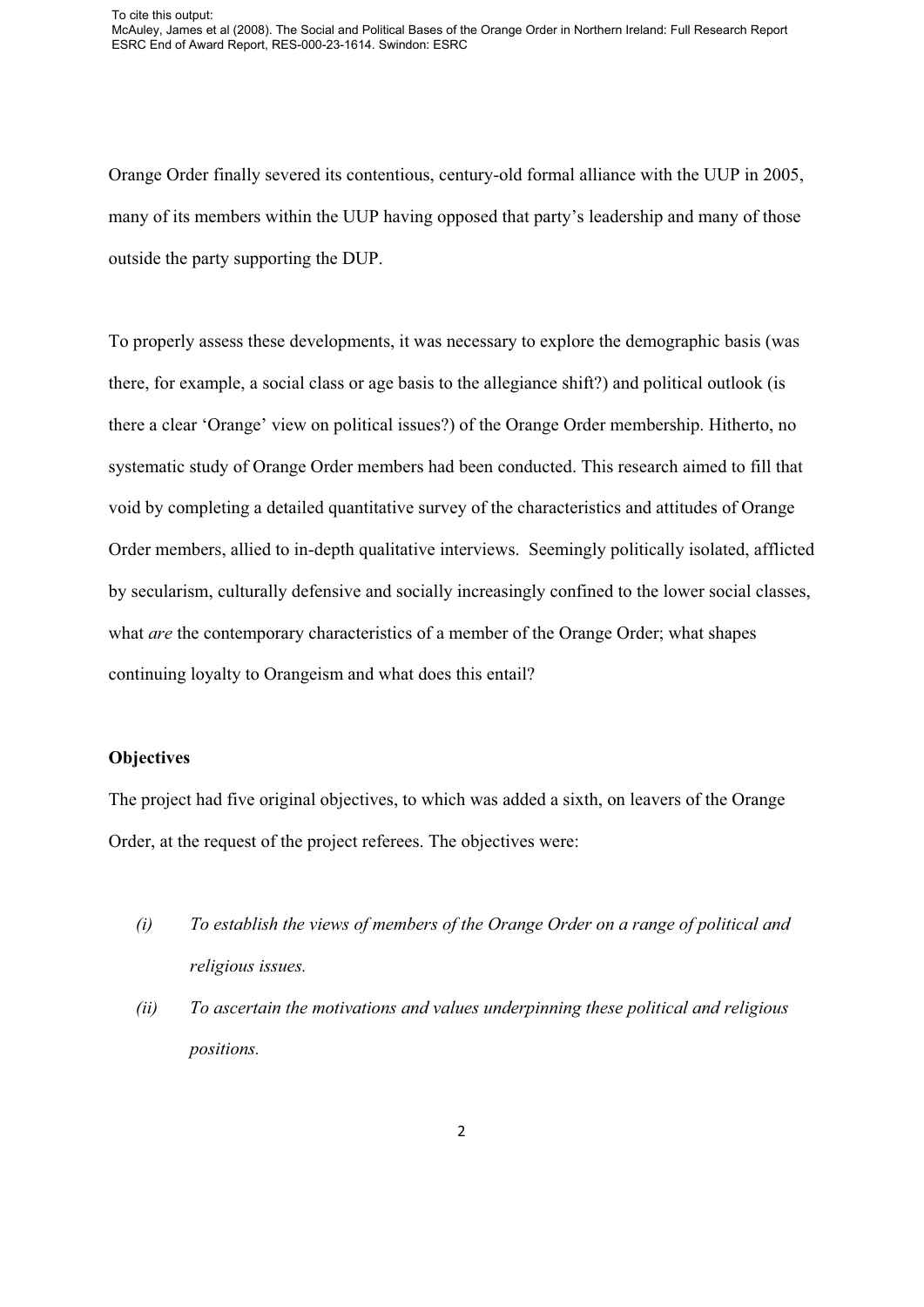Orange Order finally severed its contentious, century-old formal alliance with the UUP in 2005, many of its members within the UUP having opposed that party's leadership and many of those outside the party supporting the DUP.

To properly assess these developments, it was necessary to explore the demographic basis (was there, for example, a social class or age basis to the allegiance shift?) and political outlook (is there a clear 'Orange' view on political issues?) of the Orange Order membership. Hitherto, no systematic study of Orange Order members had been conducted. This research aimed to fill that void by completing a detailed quantitative survey of the characteristics and attitudes of Orange Order members, allied to in-depth qualitative interviews. Seemingly politically isolated, afflicted by secularism, culturally defensive and socially increasingly confined to the lower social classes, what *are* the contemporary characteristics of a member of the Orange Order; what shapes continuing loyalty to Orangeism and what does this entail?

## **Objectives**

The project had five original objectives, to which was added a sixth, on leavers of the Orange Order, at the request of the project referees. The objectives were:

- *(i) To establish the views of members of the Orange Order on a range of political and religious issues.*
- *(ii) To ascertain the motivations and values underpinning these political and religious positions.*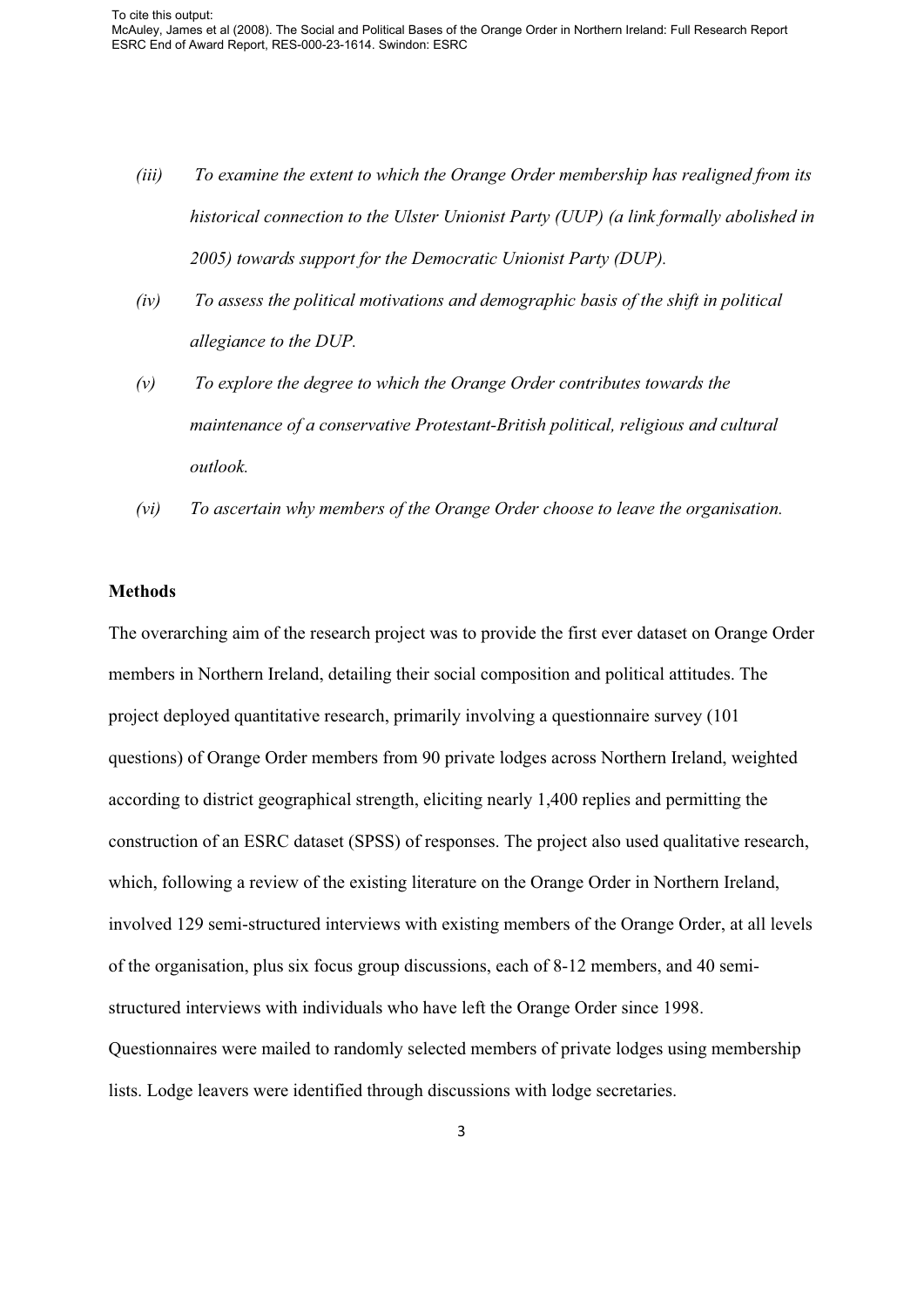- *(iii) To examine the extent to which the Orange Order membership has realigned from its historical connection to the Ulster Unionist Party (UUP) (a link formally abolished in 2005) towards support for the Democratic Unionist Party (DUP).*
- *(iv) To assess the political motivations and demographic basis of the shift in political allegiance to the DUP.*
- *(v) To explore the degree to which the Orange Order contributes towards the maintenance of a conservative Protestant-British political, religious and cultural outlook.*
- *(vi) To ascertain why members of the Orange Order choose to leave the organisation.*

## **Methods**

The overarching aim of the research project was to provide the first ever dataset on Orange Order members in Northern Ireland, detailing their social composition and political attitudes. The project deployed quantitative research, primarily involving a questionnaire survey (101 questions) of Orange Order members from 90 private lodges across Northern Ireland, weighted according to district geographical strength, eliciting nearly 1,400 replies and permitting the construction of an ESRC dataset (SPSS) of responses. The project also used qualitative research, which, following a review of the existing literature on the Orange Order in Northern Ireland, involved 129 semi-structured interviews with existing members of the Orange Order, at all levels of the organisation, plus six focus group discussions, each of 8-12 members, and 40 semistructured interviews with individuals who have left the Orange Order since 1998. Questionnaires were mailed to randomly selected members of private lodges using membership lists. Lodge leavers were identified through discussions with lodge secretaries.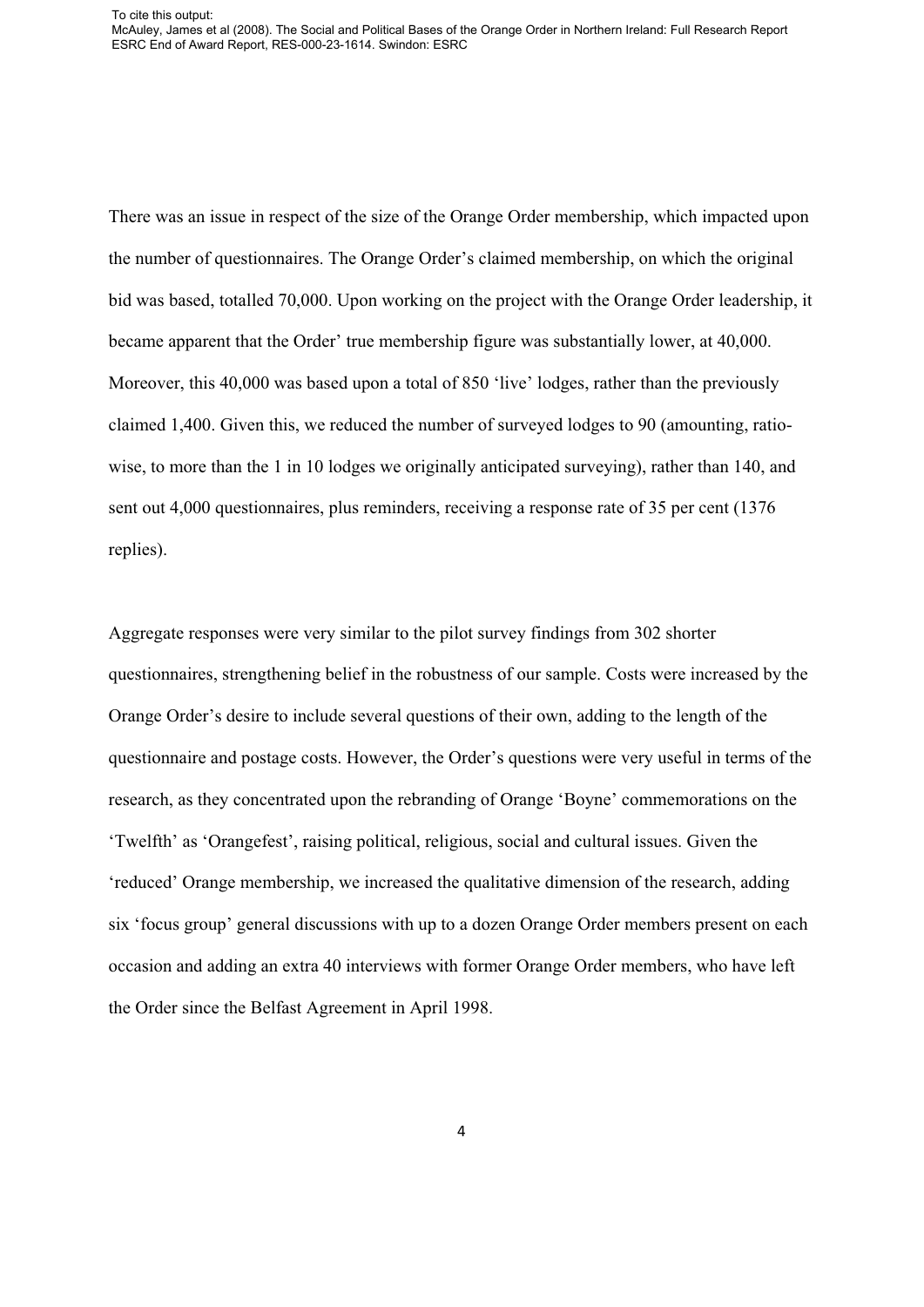There was an issue in respect of the size of the Orange Order membership, which impacted upon the number of questionnaires. The Orange Order's claimed membership, on which the original bid was based, totalled 70,000. Upon working on the project with the Orange Order leadership, it became apparent that the Order' true membership figure was substantially lower, at 40,000. Moreover, this 40,000 was based upon a total of 850 'live' lodges, rather than the previously claimed 1,400. Given this, we reduced the number of surveyed lodges to 90 (amounting, ratiowise, to more than the 1 in 10 lodges we originally anticipated surveying), rather than 140, and sent out 4,000 questionnaires, plus reminders, receiving a response rate of 35 per cent (1376 replies).

Aggregate responses were very similar to the pilot survey findings from 302 shorter questionnaires, strengthening belief in the robustness of our sample. Costs were increased by the Orange Order's desire to include several questions of their own, adding to the length of the questionnaire and postage costs. However, the Order's questions were very useful in terms of the research, as they concentrated upon the rebranding of Orange 'Boyne' commemorations on the 'Twelfth' as 'Orangefest', raising political, religious, social and cultural issues. Given the 'reduced' Orange membership, we increased the qualitative dimension of the research, adding six 'focus group' general discussions with up to a dozen Orange Order members present on each occasion and adding an extra 40 interviews with former Orange Order members, who have left the Order since the Belfast Agreement in April 1998.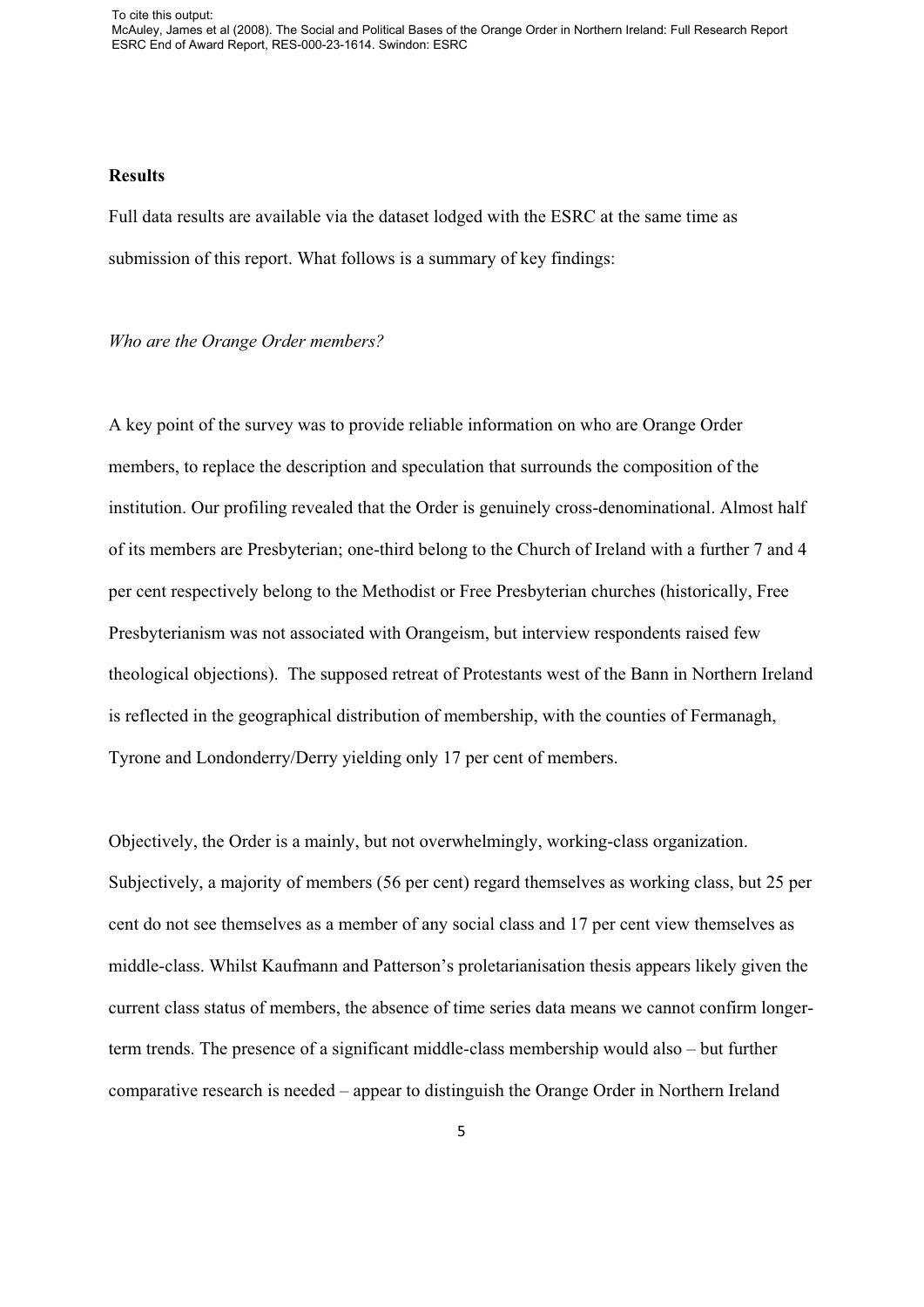To cite this output: McAuley, James et al (2008). The Social and Political Bases of the Orange Order in Northern Ireland: Full Research Report ESRC End of Award Report, RES-000-23-1614. Swindon: ESRC

### **Results**

Full data results are available via the dataset lodged with the ESRC at the same time as submission of this report. What follows is a summary of key findings:

#### *Who are the Orange Order members?*

A key point of the survey was to provide reliable information on who are Orange Order members, to replace the description and speculation that surrounds the composition of the institution. Our profiling revealed that the Order is genuinely cross-denominational. Almost half of its members are Presbyterian; one-third belong to the Church of Ireland with a further 7 and 4 per cent respectively belong to the Methodist or Free Presbyterian churches (historically, Free Presbyterianism was not associated with Orangeism, but interview respondents raised few theological objections). The supposed retreat of Protestants west of the Bann in Northern Ireland is reflected in the geographical distribution of membership, with the counties of Fermanagh, Tyrone and Londonderry/Derry yielding only 17 per cent of members.

Objectively, the Order is a mainly, but not overwhelmingly, working-class organization. Subjectively, a majority of members (56 per cent) regard themselves as working class, but 25 per cent do not see themselves as a member of any social class and 17 per cent view themselves as middle-class. Whilst Kaufmann and Patterson's proletarianisation thesis appears likely given the current class status of members, the absence of time series data means we cannot confirm longerterm trends. The presence of a significant middle-class membership would also – but further comparative research is needed – appear to distinguish the Orange Order in Northern Ireland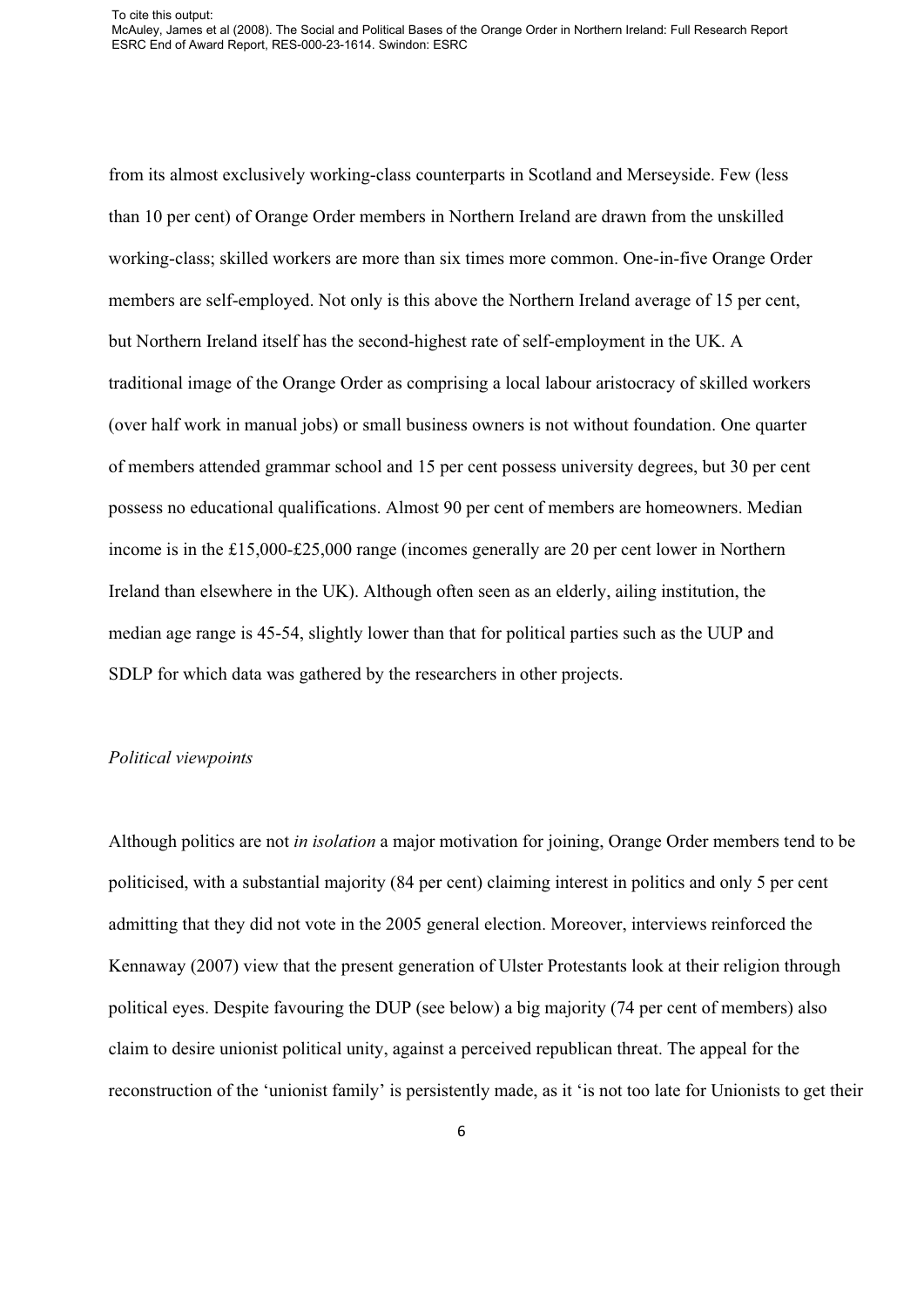from its almost exclusively working-class counterparts in Scotland and Merseyside. Few (less than 10 per cent) of Orange Order members in Northern Ireland are drawn from the unskilled working-class; skilled workers are more than six times more common. One-in-five Orange Order members are self-employed. Not only is this above the Northern Ireland average of 15 per cent, but Northern Ireland itself has the second-highest rate of self-employment in the UK. A traditional image of the Orange Order as comprising a local labour aristocracy of skilled workers (over half work in manual jobs) or small business owners is not without foundation. One quarter of members attended grammar school and 15 per cent possess university degrees, but 30 per cent possess no educational qualifications. Almost 90 per cent of members are homeowners. Median income is in the £15,000-£25,000 range (incomes generally are 20 per cent lower in Northern Ireland than elsewhere in the UK). Although often seen as an elderly, ailing institution, the median age range is 45-54, slightly lower than that for political parties such as the UUP and SDLP for which data was gathered by the researchers in other projects.

## *Political viewpoints*

Although politics are not *in isolation* a major motivation for joining, Orange Order members tend to be politicised, with a substantial majority (84 per cent) claiming interest in politics and only 5 per cent admitting that they did not vote in the 2005 general election. Moreover, interviews reinforced the Kennaway (2007) view that the present generation of Ulster Protestants look at their religion through political eyes. Despite favouring the DUP (see below) a big majority (74 per cent of members) also claim to desire unionist political unity, against a perceived republican threat. The appeal for the reconstruction of the 'unionist family' is persistently made, as it 'is not too late for Unionists to get their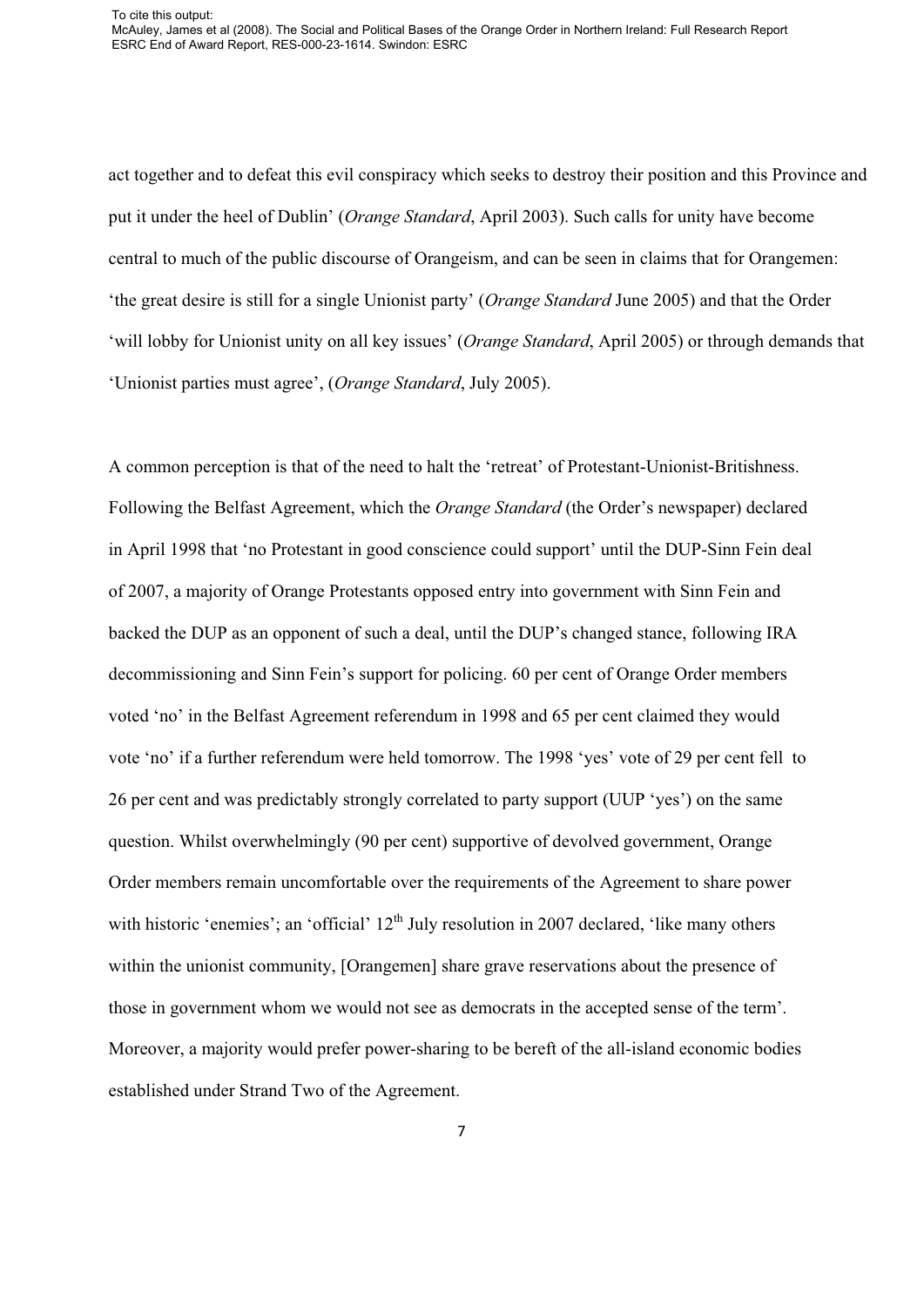act together and to defeat this evil conspiracy which seeks to destroy their position and this Province and put it under the heel of Dublin' (*Orange Standard*, April 2003). Such calls for unity have become central to much of the public discourse of Orangeism, and can be seen in claims that for Orangemen: 'the great desire is still for a single Unionist party' (*Orange Standard* June 2005) and that the Order 'will lobby for Unionist unity on all key issues' (*Orange Standard*, April 2005) or through demands that 'Unionist parties must agree', (*Orange Standard*, July 2005).

A common perception is that of the need to halt the 'retreat' of Protestant-Unionist-Britishness. Following the Belfast Agreement, which the *Orange Standard* (the Order's newspaper) declared in April 1998 that 'no Protestant in good conscience could support' until the DUP-Sinn Fein deal of 2007, a majority of Orange Protestants opposed entry into government with Sinn Fein and backed the DUP as an opponent of such a deal, until the DUP's changed stance, following IRA decommissioning and Sinn Fein's support for policing. 60 per cent of Orange Order members voted 'no' in the Belfast Agreement referendum in 1998 and 65 per cent claimed they would vote 'no' if a further referendum were held tomorrow. The 1998 'yes' vote of 29 per cent fell to 26 per cent and was predictably strongly correlated to party support (UUP 'yes') on the same question. Whilst overwhelmingly (90 per cent) supportive of devolved government, Orange Order members remain uncomfortable over the requirements of the Agreement to share power with historic 'enemies'; an 'official'  $12<sup>th</sup>$  July resolution in 2007 declared, 'like many others within the unionist community, [Orangemen] share grave reservations about the presence of those in government whom we would not see as democrats in the accepted sense of the term'. Moreover, a majority would prefer power-sharing to be bereft of the all-island economic bodies established under Strand Two of the Agreement.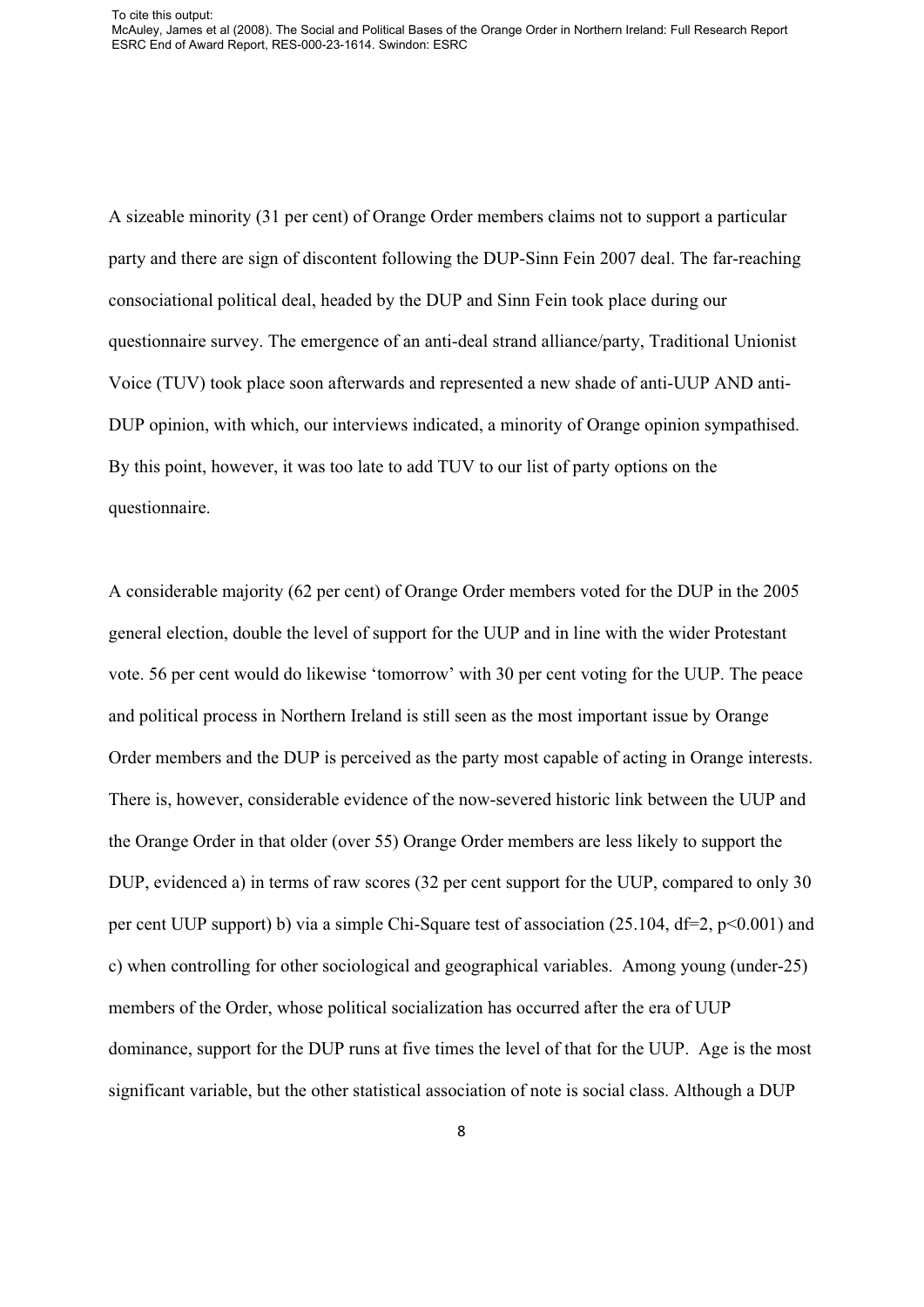A sizeable minority (31 per cent) of Orange Order members claims not to support a particular party and there are sign of discontent following the DUP-Sinn Fein 2007 deal. The far-reaching consociational political deal, headed by the DUP and Sinn Fein took place during our questionnaire survey. The emergence of an anti-deal strand alliance/party, Traditional Unionist Voice (TUV) took place soon afterwards and represented a new shade of anti-UUP AND anti-DUP opinion, with which, our interviews indicated, a minority of Orange opinion sympathised. By this point, however, it was too late to add TUV to our list of party options on the questionnaire.

A considerable majority (62 per cent) of Orange Order members voted for the DUP in the 2005 general election, double the level of support for the UUP and in line with the wider Protestant vote. 56 per cent would do likewise 'tomorrow' with 30 per cent voting for the UUP. The peace and political process in Northern Ireland is still seen as the most important issue by Orange Order members and the DUP is perceived as the party most capable of acting in Orange interests. There is, however, considerable evidence of the now-severed historic link between the UUP and the Orange Order in that older (over 55) Orange Order members are less likely to support the DUP, evidenced a) in terms of raw scores (32 per cent support for the UUP, compared to only 30 per cent UUP support) b) via a simple Chi-Square test of association (25.104, df=2, p<0.001) and c) when controlling for other sociological and geographical variables. Among young (under-25) members of the Order, whose political socialization has occurred after the era of UUP dominance, support for the DUP runs at five times the level of that for the UUP. Age is the most significant variable, but the other statistical association of note is social class. Although a DUP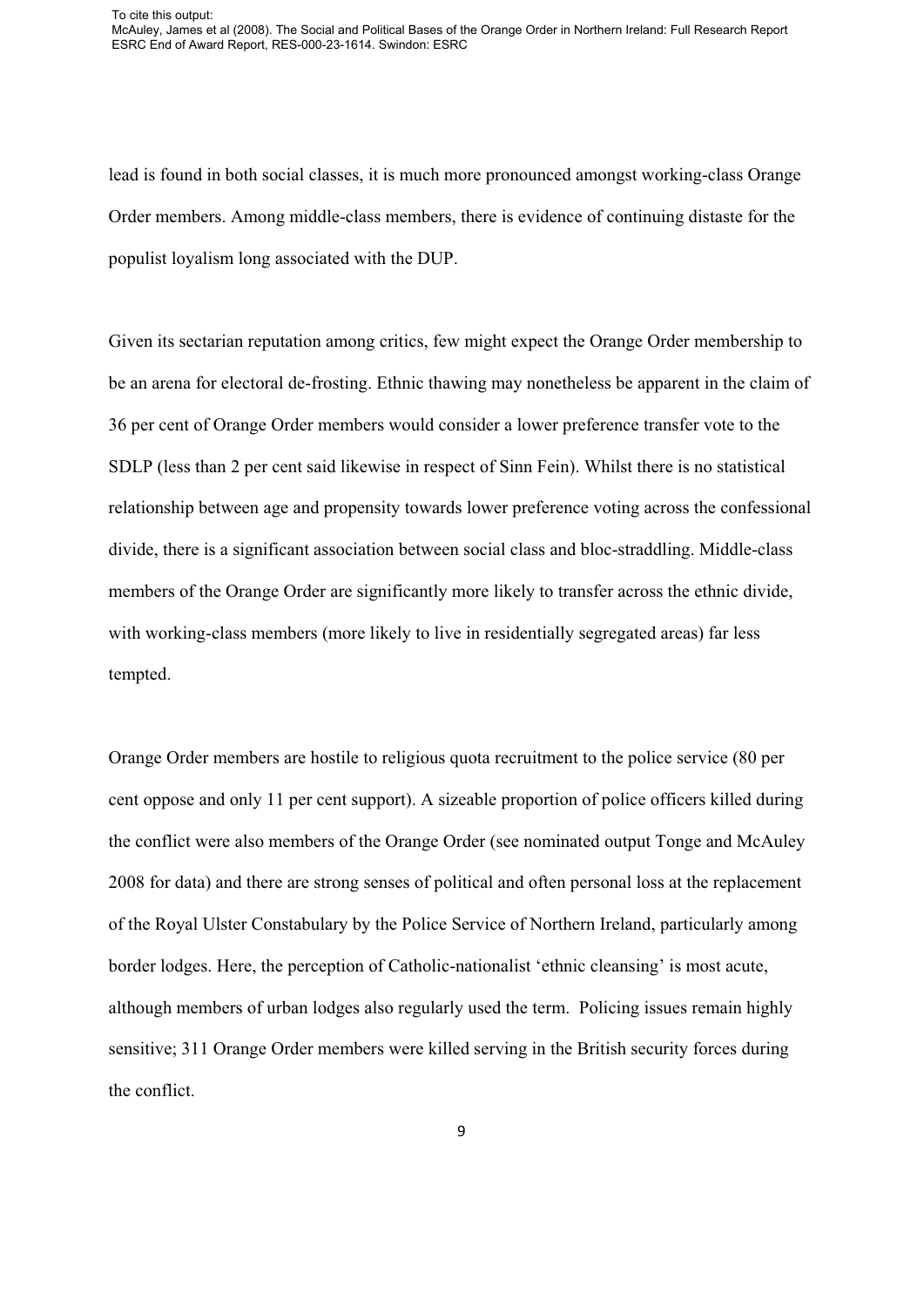lead is found in both social classes, it is much more pronounced amongst working-class Orange Order members. Among middle-class members, there is evidence of continuing distaste for the populist loyalism long associated with the DUP.

Given its sectarian reputation among critics, few might expect the Orange Order membership to be an arena for electoral de-frosting. Ethnic thawing may nonetheless be apparent in the claim of 36 per cent of Orange Order members would consider a lower preference transfer vote to the SDLP (less than 2 per cent said likewise in respect of Sinn Fein). Whilst there is no statistical relationship between age and propensity towards lower preference voting across the confessional divide, there is a significant association between social class and bloc-straddling. Middle-class members of the Orange Order are significantly more likely to transfer across the ethnic divide, with working-class members (more likely to live in residentially segregated areas) far less tempted.

Orange Order members are hostile to religious quota recruitment to the police service (80 per cent oppose and only 11 per cent support). A sizeable proportion of police officers killed during the conflict were also members of the Orange Order (see nominated output Tonge and McAuley 2008 for data) and there are strong senses of political and often personal loss at the replacement of the Royal Ulster Constabulary by the Police Service of Northern Ireland, particularly among border lodges. Here, the perception of Catholic-nationalist 'ethnic cleansing' is most acute, although members of urban lodges also regularly used the term. Policing issues remain highly sensitive; 311 Orange Order members were killed serving in the British security forces during the conflict.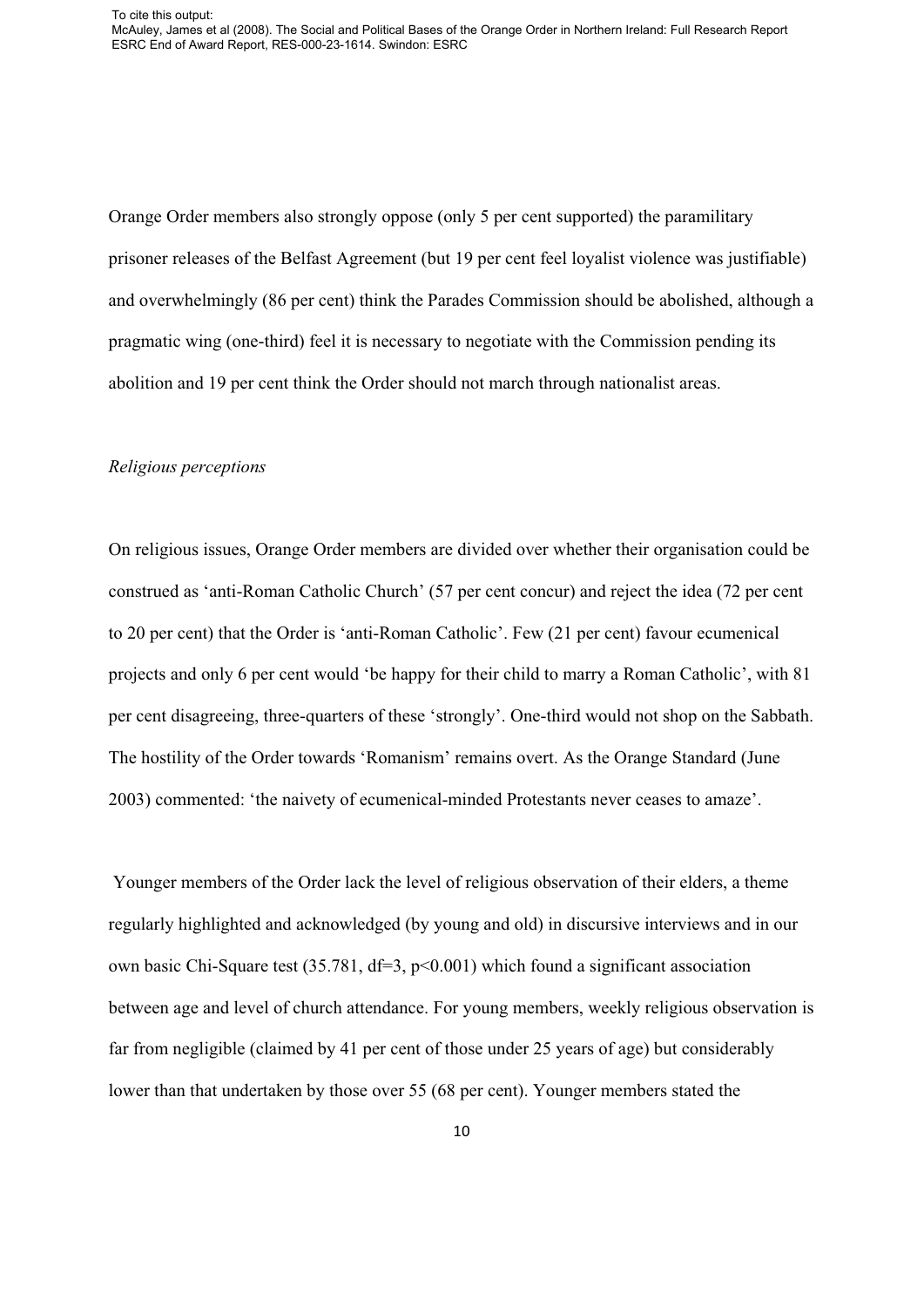Orange Order members also strongly oppose (only 5 per cent supported) the paramilitary prisoner releases of the Belfast Agreement (but 19 per cent feel loyalist violence was justifiable) and overwhelmingly (86 per cent) think the Parades Commission should be abolished, although a pragmatic wing (one-third) feel it is necessary to negotiate with the Commission pending its abolition and 19 per cent think the Order should not march through nationalist areas.

## *Religious perceptions*

On religious issues, Orange Order members are divided over whether their organisation could be construed as 'anti-Roman Catholic Church' (57 per cent concur) and reject the idea (72 per cent to 20 per cent) that the Order is 'anti-Roman Catholic'. Few (21 per cent) favour ecumenical projects and only 6 per cent would 'be happy for their child to marry a Roman Catholic', with 81 per cent disagreeing, three-quarters of these 'strongly'. One-third would not shop on the Sabbath. The hostility of the Order towards 'Romanism' remains overt. As the Orange Standard (June 2003) commented: 'the naivety of ecumenical-minded Protestants never ceases to amaze'.

 Younger members of the Order lack the level of religious observation of their elders, a theme regularly highlighted and acknowledged (by young and old) in discursive interviews and in our own basic Chi-Square test (35.781, df=3, p<0.001) which found a significant association between age and level of church attendance. For young members, weekly religious observation is far from negligible (claimed by 41 per cent of those under 25 years of age) but considerably lower than that undertaken by those over 55 (68 per cent). Younger members stated the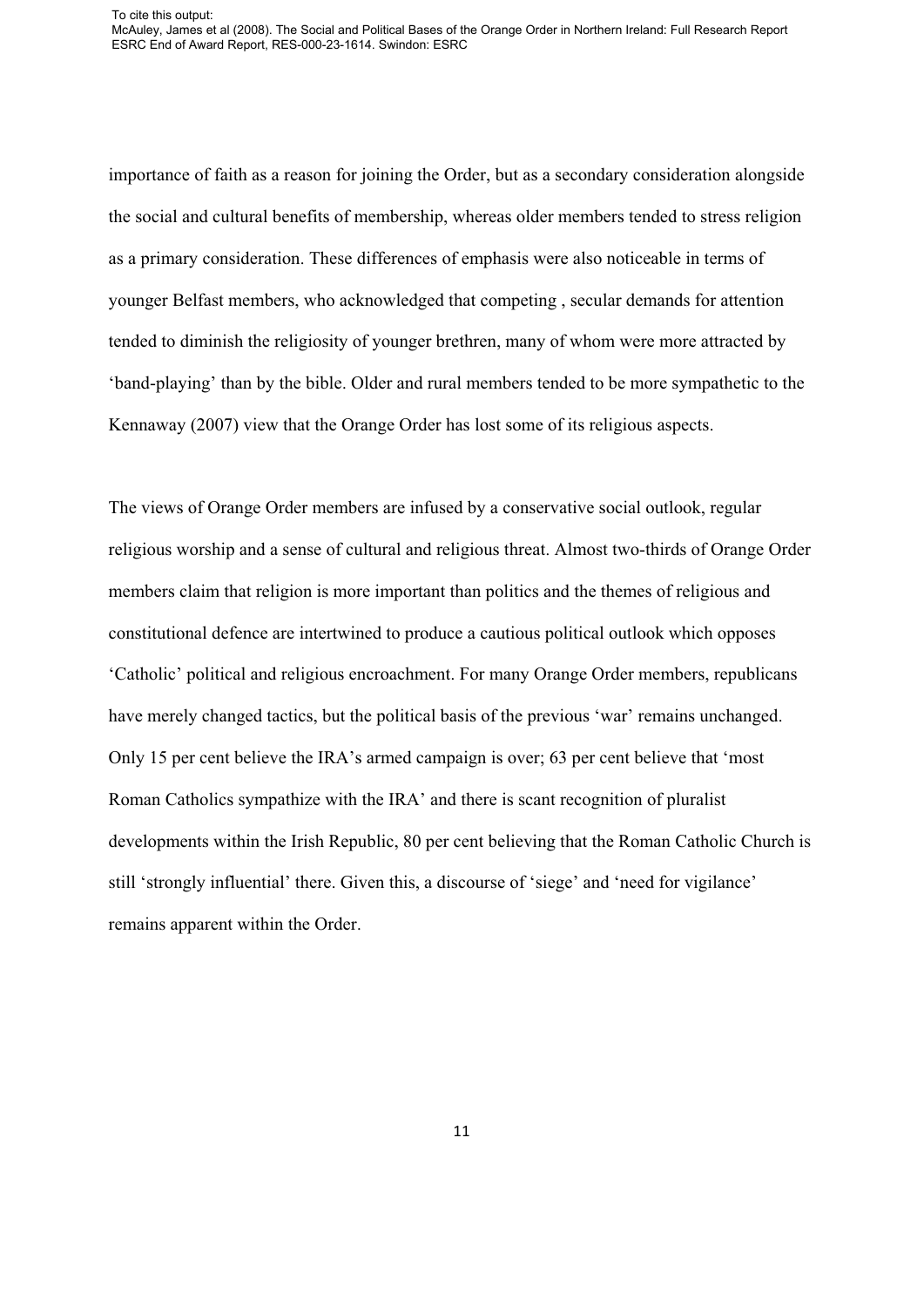To cite this output: McAuley, James et al (2008). The Social and Political Bases of the Orange Order in Northern Ireland: Full Research Report ESRC End of Award Report, RES-000-23-1614. Swindon: ESRC

importance of faith as a reason for joining the Order, but as a secondary consideration alongside the social and cultural benefits of membership, whereas older members tended to stress religion as a primary consideration. These differences of emphasis were also noticeable in terms of younger Belfast members, who acknowledged that competing , secular demands for attention tended to diminish the religiosity of younger brethren, many of whom were more attracted by 'band-playing' than by the bible. Older and rural members tended to be more sympathetic to the Kennaway (2007) view that the Orange Order has lost some of its religious aspects.

The views of Orange Order members are infused by a conservative social outlook, regular religious worship and a sense of cultural and religious threat. Almost two-thirds of Orange Order members claim that religion is more important than politics and the themes of religious and constitutional defence are intertwined to produce a cautious political outlook which opposes 'Catholic' political and religious encroachment. For many Orange Order members, republicans have merely changed tactics, but the political basis of the previous 'war' remains unchanged. Only 15 per cent believe the IRA's armed campaign is over; 63 per cent believe that 'most Roman Catholics sympathize with the IRA' and there is scant recognition of pluralist developments within the Irish Republic, 80 per cent believing that the Roman Catholic Church is still 'strongly influential' there. Given this, a discourse of 'siege' and 'need for vigilance' remains apparent within the Order.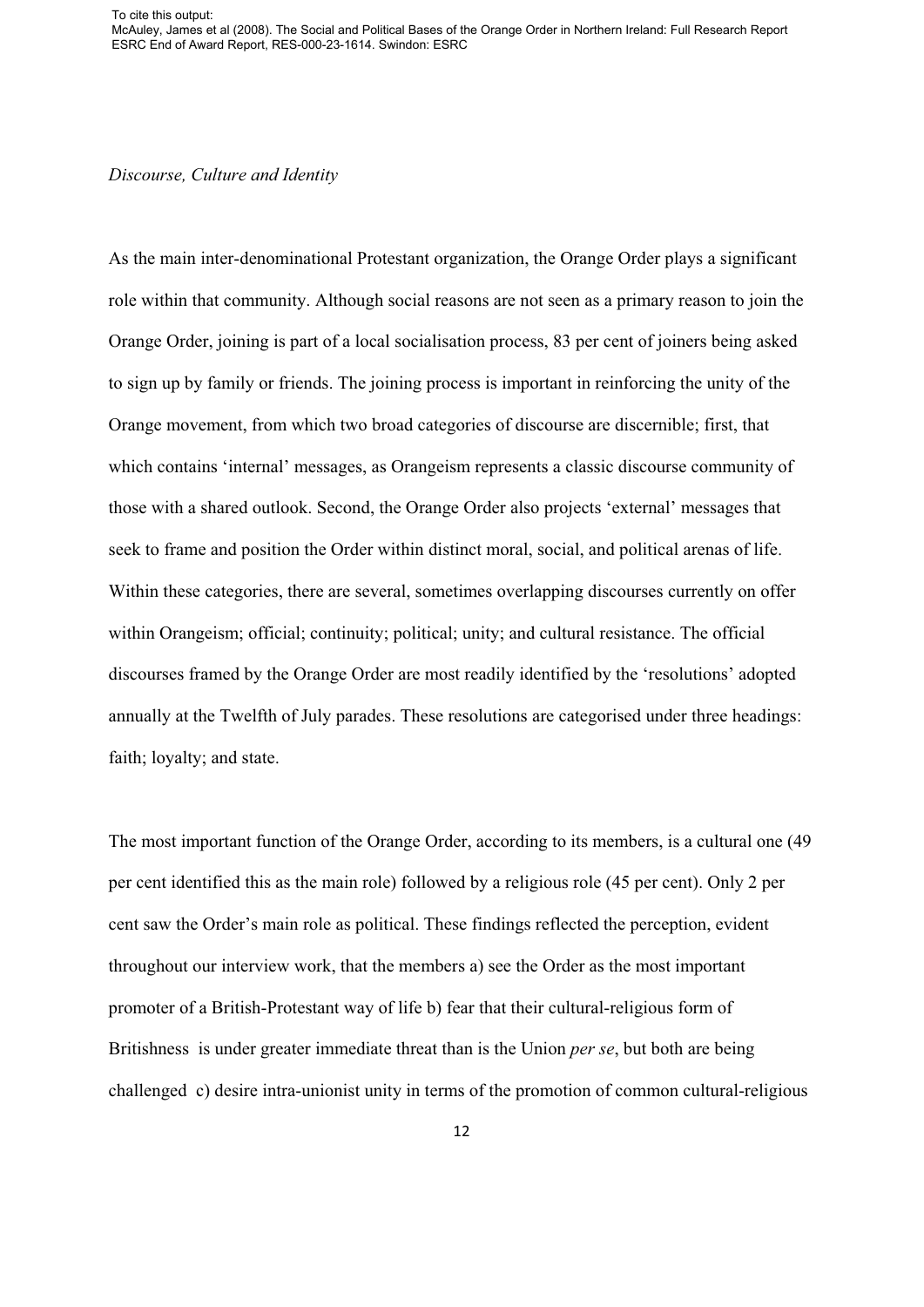To cite this output: McAuley, James et al (2008). The Social and Political Bases of the Orange Order in Northern Ireland: Full Research Report ESRC End of Award Report, RES-000-23-1614. Swindon: ESRC

*Discourse, Culture and Identity*

As the main inter-denominational Protestant organization, the Orange Order plays a significant role within that community. Although social reasons are not seen as a primary reason to join the Orange Order, joining is part of a local socialisation process, 83 per cent of joiners being asked to sign up by family or friends. The joining process is important in reinforcing the unity of the Orange movement, from which two broad categories of discourse are discernible; first, that which contains 'internal' messages, as Orangeism represents a classic discourse community of those with a shared outlook. Second, the Orange Order also projects 'external' messages that seek to frame and position the Order within distinct moral, social, and political arenas of life. Within these categories, there are several, sometimes overlapping discourses currently on offer within Orangeism; official; continuity; political; unity; and cultural resistance. The official discourses framed by the Orange Order are most readily identified by the 'resolutions' adopted annually at the Twelfth of July parades. These resolutions are categorised under three headings: faith; loyalty; and state.

The most important function of the Orange Order, according to its members, is a cultural one (49 per cent identified this as the main role) followed by a religious role (45 per cent). Only 2 per cent saw the Order's main role as political. These findings reflected the perception, evident throughout our interview work, that the members a) see the Order as the most important promoter of a British-Protestant way of life b) fear that their cultural-religious form of Britishness is under greater immediate threat than is the Union *per se*, but both are being challenged c) desire intra-unionist unity in terms of the promotion of common cultural-religious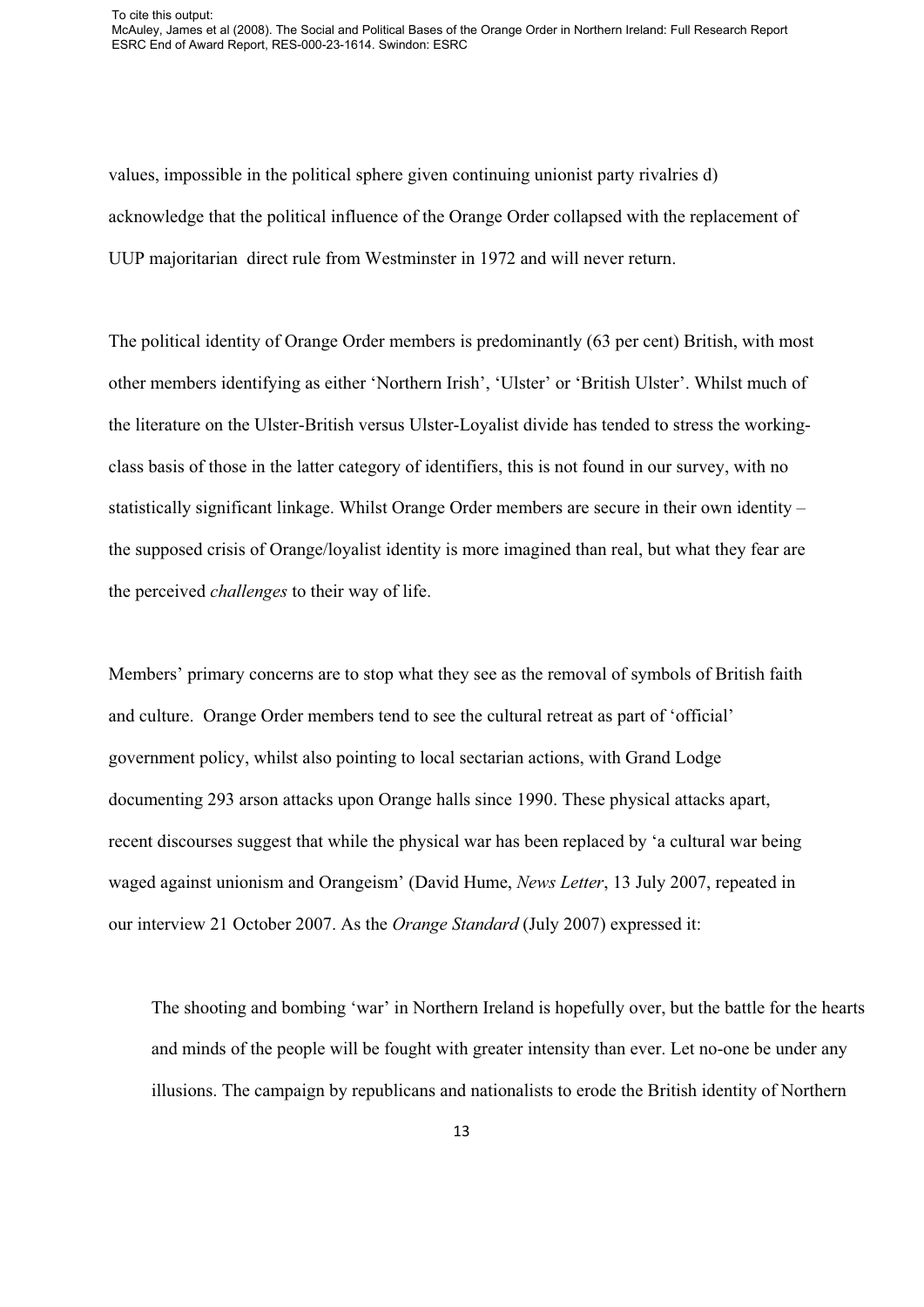values, impossible in the political sphere given continuing unionist party rivalries d) acknowledge that the political influence of the Orange Order collapsed with the replacement of UUP majoritarian direct rule from Westminster in 1972 and will never return.

The political identity of Orange Order members is predominantly (63 per cent) British, with most other members identifying as either 'Northern Irish', 'Ulster' or 'British Ulster'. Whilst much of the literature on the Ulster-British versus Ulster-Loyalist divide has tended to stress the workingclass basis of those in the latter category of identifiers, this is not found in our survey, with no statistically significant linkage. Whilst Orange Order members are secure in their own identity – the supposed crisis of Orange/loyalist identity is more imagined than real, but what they fear are the perceived *challenges* to their way of life.

Members' primary concerns are to stop what they see as the removal of symbols of British faith and culture. Orange Order members tend to see the cultural retreat as part of 'official' government policy, whilst also pointing to local sectarian actions, with Grand Lodge documenting 293 arson attacks upon Orange halls since 1990. These physical attacks apart, recent discourses suggest that while the physical war has been replaced by 'a cultural war being waged against unionism and Orangeism' (David Hume, *News Letter*, 13 July 2007, repeated in our interview 21 October 2007. As the *Orange Standard* (July 2007) expressed it:

The shooting and bombing 'war' in Northern Ireland is hopefully over, but the battle for the hearts and minds of the people will be fought with greater intensity than ever. Let no-one be under any illusions. The campaign by republicans and nationalists to erode the British identity of Northern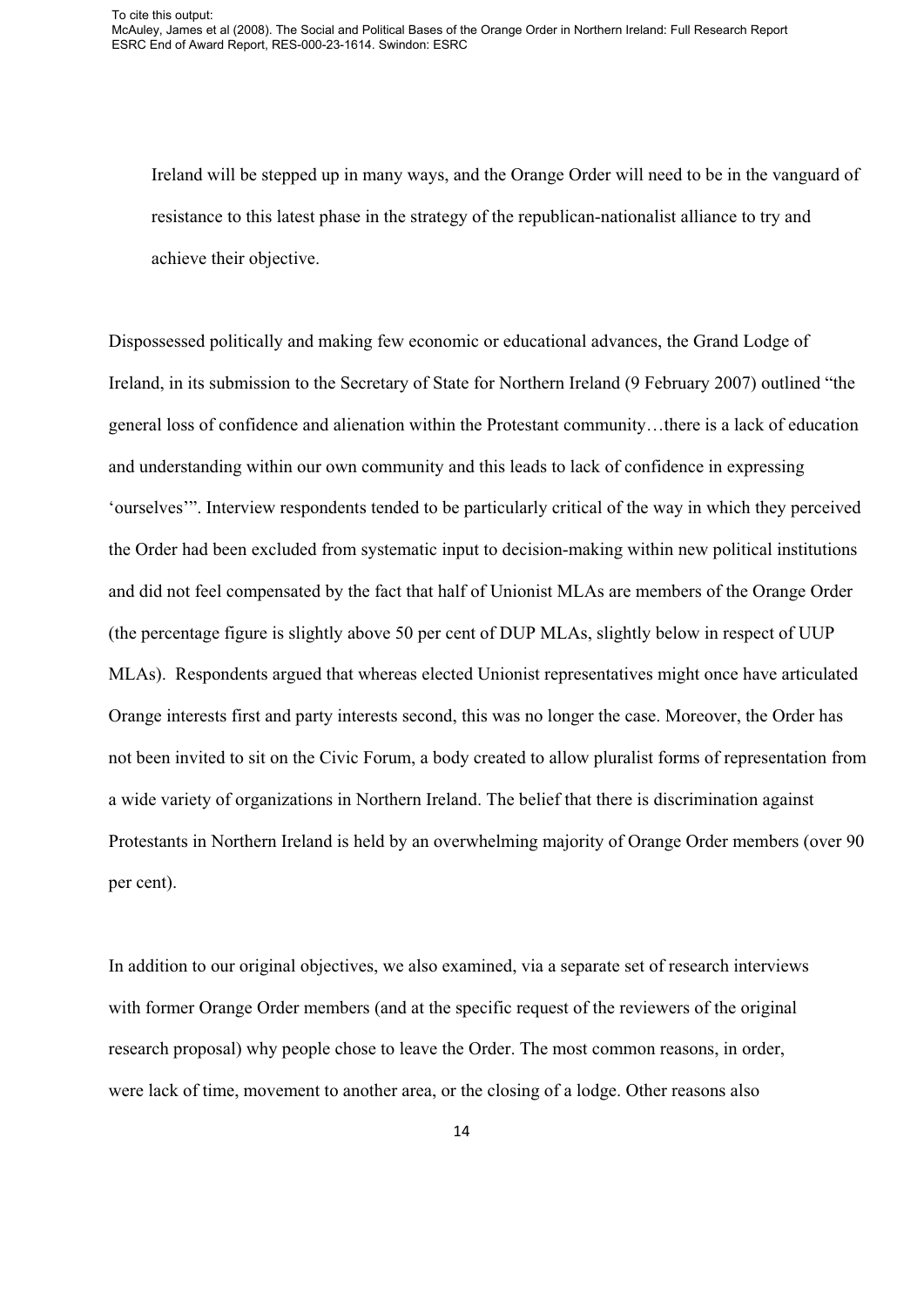Ireland will be stepped up in many ways, and the Orange Order will need to be in the vanguard of resistance to this latest phase in the strategy of the republican-nationalist alliance to try and achieve their objective.

Dispossessed politically and making few economic or educational advances, the Grand Lodge of Ireland, in its submission to the Secretary of State for Northern Ireland (9 February 2007) outlined "the general loss of confidence and alienation within the Protestant community…there is a lack of education and understanding within our own community and this leads to lack of confidence in expressing 'ourselves'". Interview respondents tended to be particularly critical of the way in which they perceived the Order had been excluded from systematic input to decision-making within new political institutions and did not feel compensated by the fact that half of Unionist MLAs are members of the Orange Order (the percentage figure is slightly above 50 per cent of DUP MLAs, slightly below in respect of UUP MLAs). Respondents argued that whereas elected Unionist representatives might once have articulated Orange interests first and party interests second, this was no longer the case. Moreover, the Order has not been invited to sit on the Civic Forum, a body created to allow pluralist forms of representation from a wide variety of organizations in Northern Ireland. The belief that there is discrimination against Protestants in Northern Ireland is held by an overwhelming majority of Orange Order members (over 90 per cent).

In addition to our original objectives, we also examined, via a separate set of research interviews with former Orange Order members (and at the specific request of the reviewers of the original research proposal) why people chose to leave the Order. The most common reasons, in order, were lack of time, movement to another area, or the closing of a lodge. Other reasons also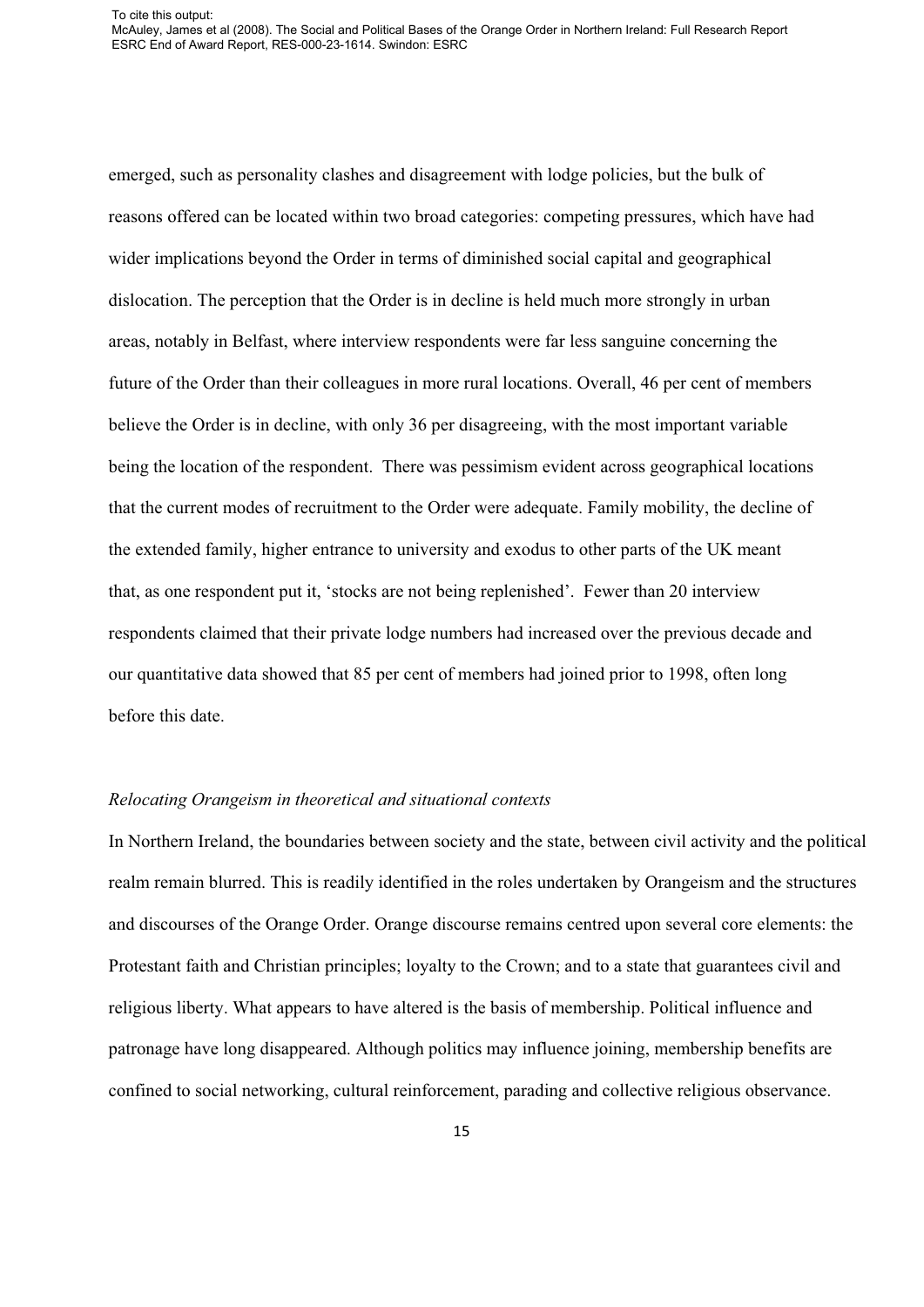emerged, such as personality clashes and disagreement with lodge policies, but the bulk of reasons offered can be located within two broad categories: competing pressures, which have had wider implications beyond the Order in terms of diminished social capital and geographical dislocation. The perception that the Order is in decline is held much more strongly in urban areas, notably in Belfast, where interview respondents were far less sanguine concerning the future of the Order than their colleagues in more rural locations. Overall, 46 per cent of members believe the Order is in decline, with only 36 per disagreeing, with the most important variable being the location of the respondent. There was pessimism evident across geographical locations that the current modes of recruitment to the Order were adequate. Family mobility, the decline of the extended family, higher entrance to university and exodus to other parts of the UK meant that, as one respondent put it, 'stocks are not being replenished'. Fewer than 20 interview respondents claimed that their private lodge numbers had increased over the previous decade and our quantitative data showed that 85 per cent of members had joined prior to 1998, often long before this date.

## *Relocating Orangeism in theoretical and situational contexts*

In Northern Ireland, the boundaries between society and the state, between civil activity and the political realm remain blurred. This is readily identified in the roles undertaken by Orangeism and the structures and discourses of the Orange Order. Orange discourse remains centred upon several core elements: the Protestant faith and Christian principles; loyalty to the Crown; and to a state that guarantees civil and religious liberty. What appears to have altered is the basis of membership. Political influence and patronage have long disappeared. Although politics may influence joining, membership benefits are confined to social networking, cultural reinforcement, parading and collective religious observance.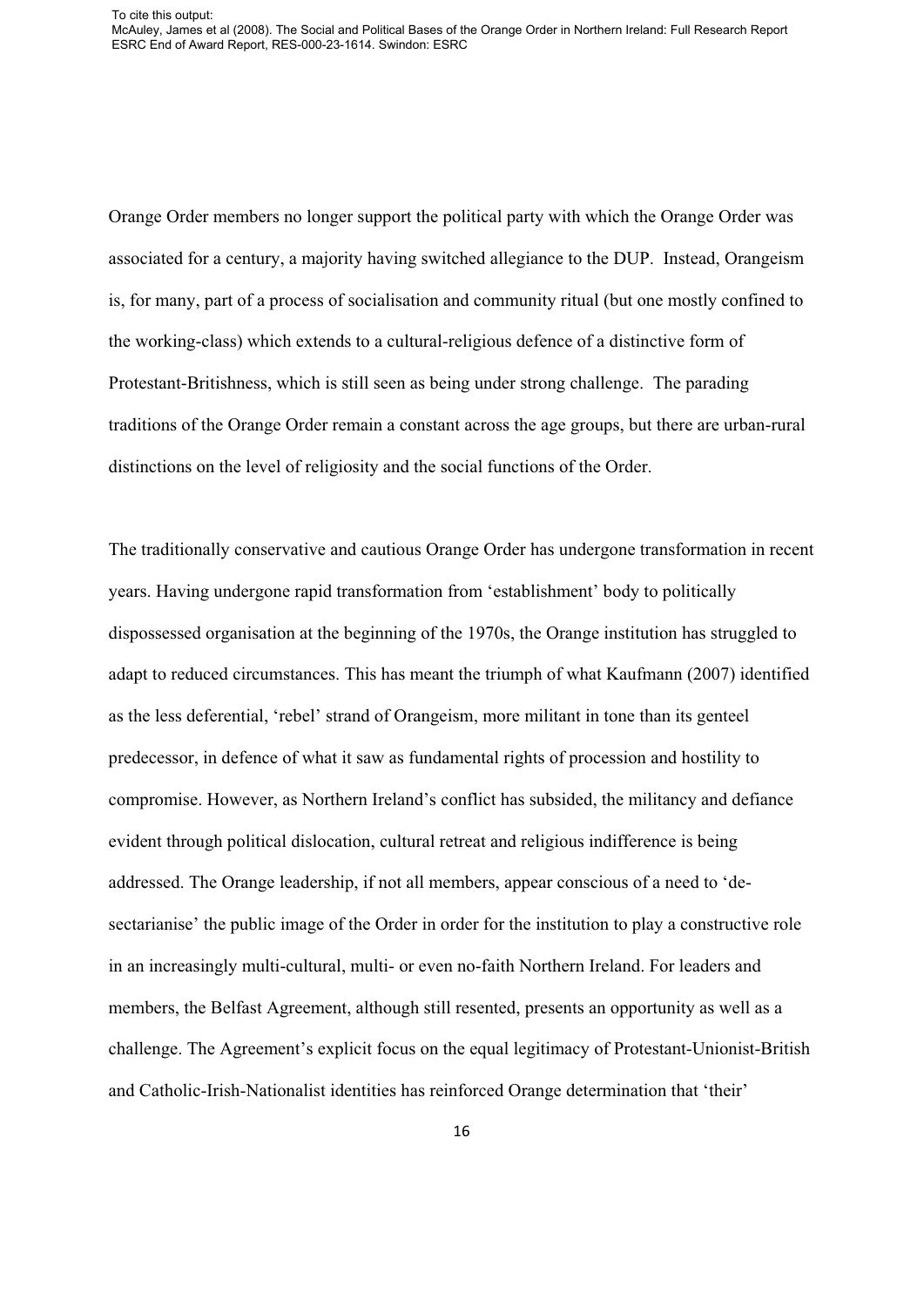Orange Order members no longer support the political party with which the Orange Order was associated for a century, a majority having switched allegiance to the DUP. Instead, Orangeism is, for many, part of a process of socialisation and community ritual (but one mostly confined to the working-class) which extends to a cultural-religious defence of a distinctive form of Protestant-Britishness, which is still seen as being under strong challenge. The parading traditions of the Orange Order remain a constant across the age groups, but there are urban-rural distinctions on the level of religiosity and the social functions of the Order.

The traditionally conservative and cautious Orange Order has undergone transformation in recent years. Having undergone rapid transformation from 'establishment' body to politically dispossessed organisation at the beginning of the 1970s, the Orange institution has struggled to adapt to reduced circumstances. This has meant the triumph of what Kaufmann (2007) identified as the less deferential, 'rebel' strand of Orangeism, more militant in tone than its genteel predecessor, in defence of what it saw as fundamental rights of procession and hostility to compromise. However, as Northern Ireland's conflict has subsided, the militancy and defiance evident through political dislocation, cultural retreat and religious indifference is being addressed. The Orange leadership, if not all members, appear conscious of a need to 'desectarianise' the public image of the Order in order for the institution to play a constructive role in an increasingly multi-cultural, multi- or even no-faith Northern Ireland. For leaders and members, the Belfast Agreement, although still resented, presents an opportunity as well as a challenge. The Agreement's explicit focus on the equal legitimacy of Protestant-Unionist-British and Catholic-Irish-Nationalist identities has reinforced Orange determination that 'their'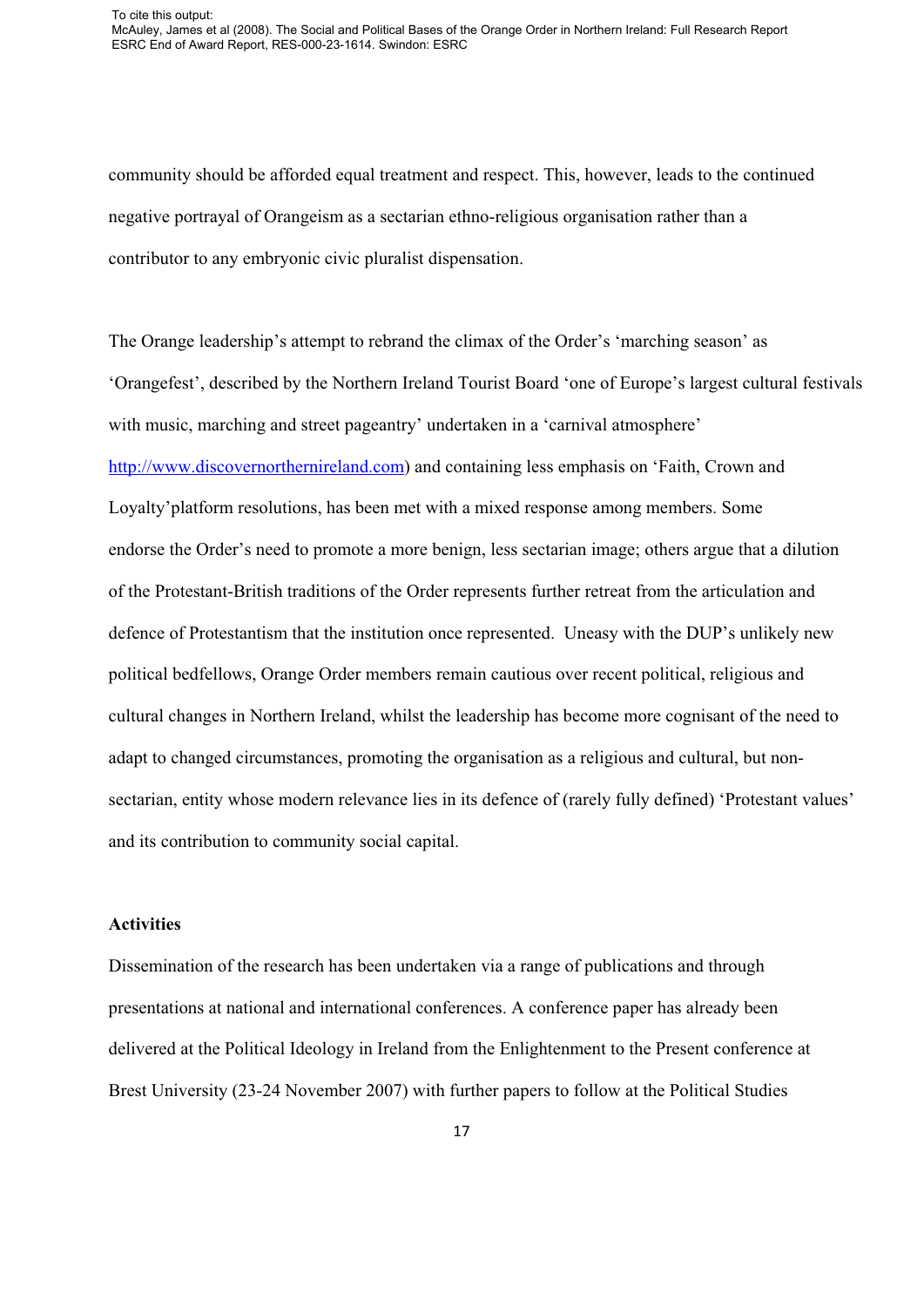community should be afforded equal treatment and respect. This, however, leads to the continued negative portrayal of Orangeism as a sectarian ethno-religious organisation rather than a contributor to any embryonic civic pluralist dispensation.

The Orange leadership's attempt to rebrand the climax of the Order's 'marching season' as 'Orangefest', described by the Northern Ireland Tourist Board 'one of Europe's largest cultural festivals with music, marching and street pageantry' undertaken in a 'carnival atmosphere' http://www.discovernorthernireland.com) and containing less emphasis on 'Faith, Crown and Loyalty'platform resolutions, has been met with a mixed response among members. Some endorse the Order's need to promote a more benign, less sectarian image; others argue that a dilution of the Protestant-British traditions of the Order represents further retreat from the articulation and defence of Protestantism that the institution once represented. Uneasy with the DUP's unlikely new political bedfellows, Orange Order members remain cautious over recent political, religious and cultural changes in Northern Ireland, whilst the leadership has become more cognisant of the need to adapt to changed circumstances, promoting the organisation as a religious and cultural, but nonsectarian, entity whose modern relevance lies in its defence of (rarely fully defined) 'Protestant values' and its contribution to community social capital.

## **Activities**

Dissemination of the research has been undertaken via a range of publications and through presentations at national and international conferences. A conference paper has already been delivered at the Political Ideology in Ireland from the Enlightenment to the Present conference at Brest University (23-24 November 2007) with further papers to follow at the Political Studies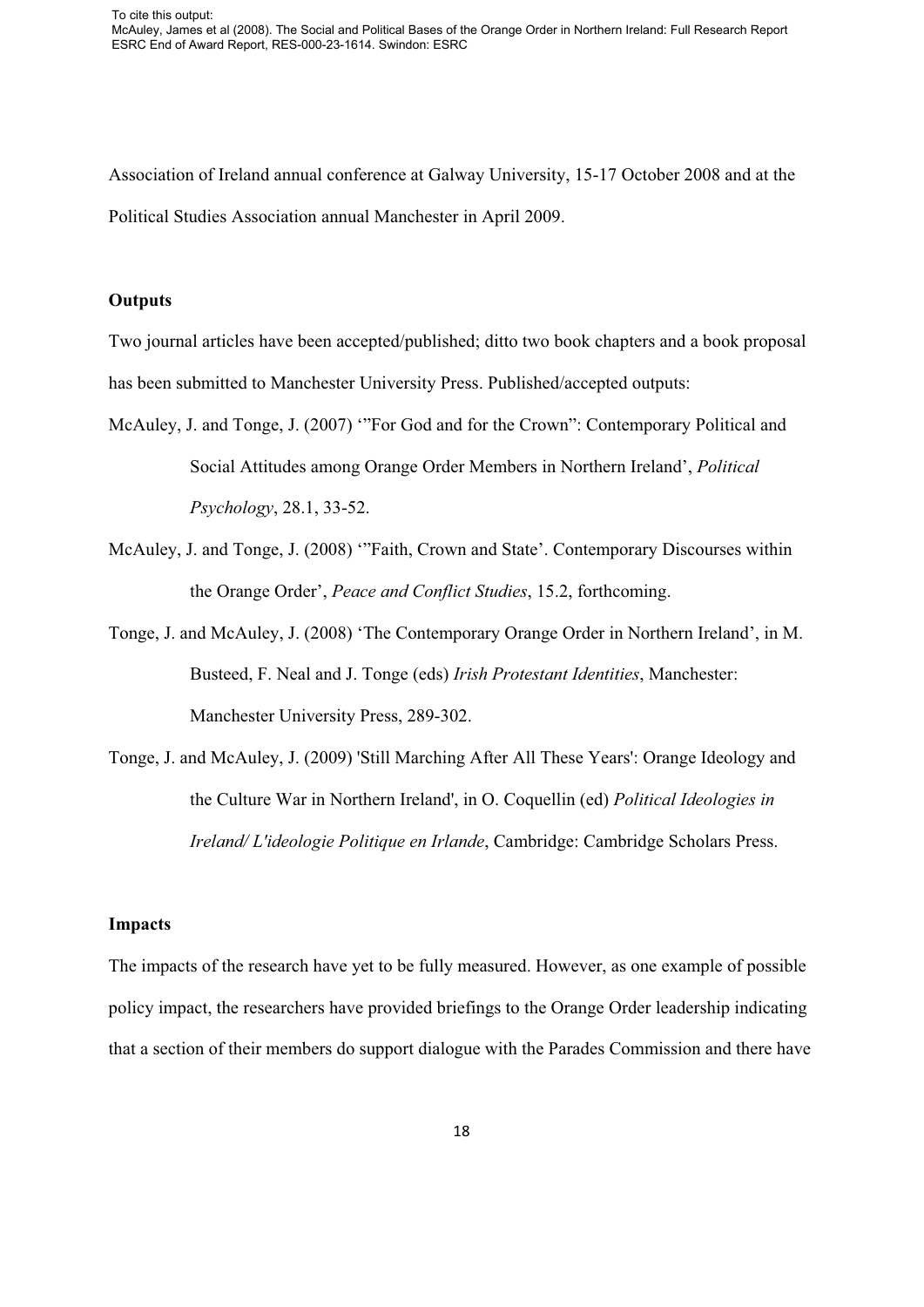Association of Ireland annual conference at Galway University, 15-17 October 2008 and at the Political Studies Association annual Manchester in April 2009.

## **Outputs**

Two journal articles have been accepted/published; ditto two book chapters and a book proposal has been submitted to Manchester University Press. Published/accepted outputs:

- McAuley, J. and Tonge, J. (2007) '"For God and for the Crown": Contemporary Political and Social Attitudes among Orange Order Members in Northern Ireland', *Political Psychology*, 28.1, 33-52.
- McAuley, J. and Tonge, J. (2008) '"Faith, Crown and State'. Contemporary Discourses within the Orange Order', *Peace and Conflict Studies*, 15.2, forthcoming.
- Tonge, J. and McAuley, J. (2008) 'The Contemporary Orange Order in Northern Ireland', in M. Busteed, F. Neal and J. Tonge (eds) *Irish Protestant Identities*, Manchester: Manchester University Press, 289-302.
- Tonge, J. and McAuley, J. (2009) 'Still Marching After All These Years': Orange Ideology and the Culture War in Northern Ireland', in O. Coquellin (ed) *Political Ideologies in Ireland/ L'ideologie Politique en Irlande*, Cambridge: Cambridge Scholars Press.

## **Impacts**

The impacts of the research have yet to be fully measured. However, as one example of possible policy impact, the researchers have provided briefings to the Orange Order leadership indicating that a section of their members do support dialogue with the Parades Commission and there have